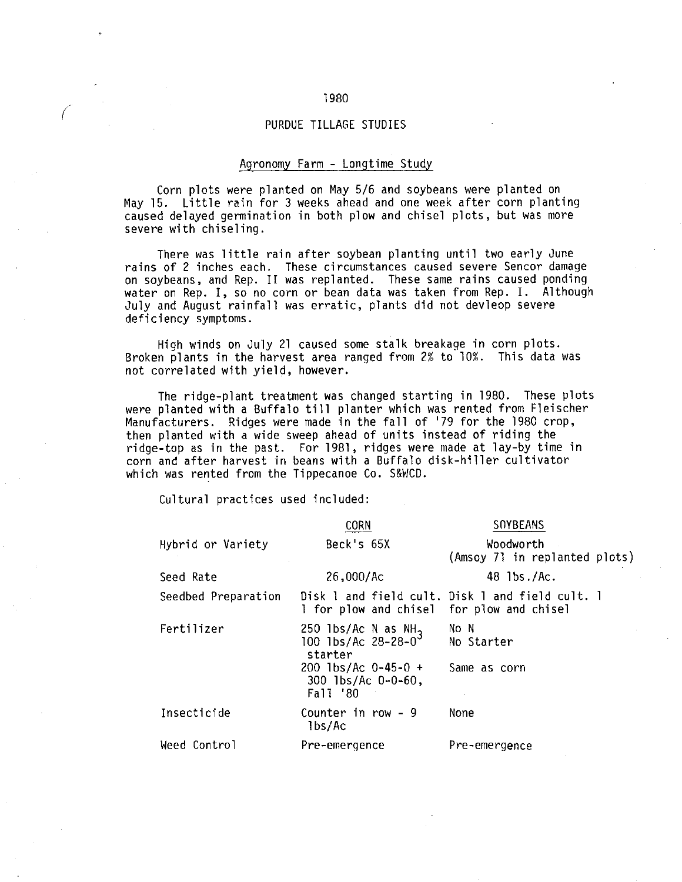### PURDUE TILLAGE STUDIES

### Agronomy Farm - Longtime Study

Corn plots were planted on May 5/6 and soybeans were planted on May 15. Little rain for 3 weeks ahead and one week after corn planting caused delayed germination in both plow and chisel plots, but was more severe with chiseling.

There was little rain after soybean planting until two early June rains of 2 inches each. These circumstances caused severe Sencor damage on soybeans, and Rep. II was replanted. These same rains caused ponding water on Rep. I, so no corn or bean data was taken from Rep. I. Although July and August rainfall was erratic, plants did not devleop severe deficiency symptoms.

High winds on July 21 caused some stalk breakage in corn plots. Broken plants in the harvest area ranged from 2% to 10%. This data was not correlated with yield, however.

The ridge-plant treatment was changed starting in 1980. These plots were planted with a Buffalo till planter which was rented from Fleischer Manufacturers. Ridges were made in the fall of '79 for the 1980 crop, then planted with a wide sweep ahead of units instead of riding the ridge-top as in the past. For 1981, ridges were made at lay-by time in corn and after harvest in beans with a Buffalo disk-hiller cultivator which was rented from the Tippecanoe Co. S&WCD.

Cultural practices used included:

|                     | <b>CORN</b>                                                          | <b>SOYBEANS</b>                                 |
|---------------------|----------------------------------------------------------------------|-------------------------------------------------|
| Hybrid or Variety   | Beck's 65X                                                           | Woodworth<br>(Amsoy 71 in replanted plots)      |
| Seed Rate           | $26,000/$ Ac                                                         | 48 lbs./Ac.                                     |
| Seedbed Preparation | I for plow and chisel for plow and chisel                            | Disk 1 and field cult. Disk 1 and field cult. 1 |
| Fertilizer          | 250 1bs/Ac N as $NH_3$<br>100 1bs/Ac 28-28-0 <sup>3</sup><br>starter | No N<br>No Starter                              |
|                     | $200$ 1bs/Ac 0-45-0 +<br>$300$ lbs/Ac $0-0-60$ ,<br>Fall '80         | Same as corn                                    |
| Insecticide         | Counter in row - 9<br>lbs/Ac                                         | None                                            |
| Weed Control        | Pre-emergence                                                        | Pre-emergence                                   |

### 1980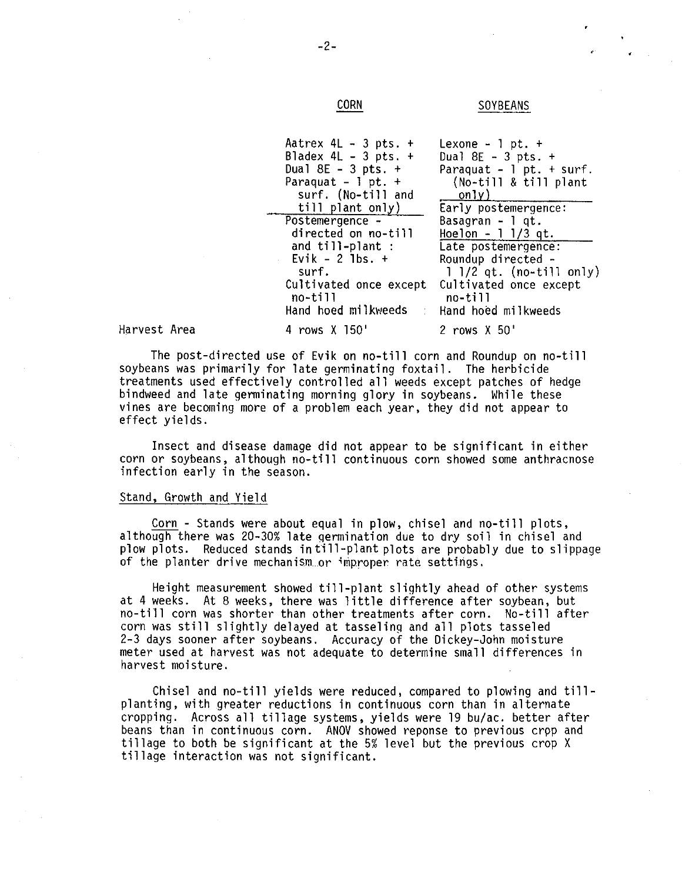**CORN** 

 $-2-$ 

## **SOYBEANS**

| Aatrex $4L - 3pts. +$                   | Lexone $-1$ pt. $+$          |
|-----------------------------------------|------------------------------|
| Bladex 4L - 3 pts. $+$                  | Dual $8E - 3pts. +$          |
| Dual $8E - 3$ pts. $+$                  | Paraquat - $1$ pt. + surf.   |
| Paraquat - $1$ pt. $+$                  | (No-till & till plant        |
| surf. (No-till and                      | only)                        |
| till plant only)                        | Early postemergence:         |
| Postemergence -                         | Basagran $-1$ qt.            |
| directed on no-till                     | $Hoe 1$ - 1 1/3 qt.          |
| and till-plant :                        | Late postemergence:          |
| $-$ Evik - 2 lbs. $+$                   | Roundup directed -           |
| surf.                                   | $1$ $1/2$ qt. (no-till only) |
| Cultivated once except                  | Cultivated once except       |
| no-till                                 | no-till                      |
| Hand hoed milkweeds Hand hoed milkweeds |                              |
| 4 nowe Y 150'                           | 2 nome Y 50'                 |

Harvest Area

The post-directed use of Evik on no-till corn and Roundup on no-till soybeans was primarily for late germinating foxtail. The herbicide treatments used effectively controlled all weeds except patches of hedge bindweed and late germinating morning glory in soybeans. While these vines are becoming more of a problem each year, they did not appear to effect yields.

Insect and disease damage did not appear to be significant in either corn or soybeans, although no-till continuous corn showed some anthracnose infection early in the season.

### Stand, Growth and Yield

Corn - Stands were about equal in plow, chisel and no-till plots, although there was 20-30% late germination due to dry soil in chisel and plow plots. Reduced stands in till-plant plots are probably due to slippage of the planter drive mechanism or improper rate settings.

Height measurement showed till-plant slightly ahead of other systems at 4 weeks. At 8 weeks, there was little difference after soybean, but no-till corn was shorter than other treatments after corn. No-till after corn was still slightly delayed at tasseling and all plots tasseled 2-3 days sooner after soybeans. Accuracy of the Dickey-John moisture meter used at harvest was not adequate to determine small differences in harvest moisture.

Chisel and no-till yields were reduced, compared to plowing and tillplanting, with greater reductions in continuous corn than in alternate cropping. Across all tillage systems, yields were 19 bu/ac. better after beans than in continuous corn. ANOV showed reponse to previous crop and tillage to both be significant at the 5% level but the previous crop X tillage interaction was not significant.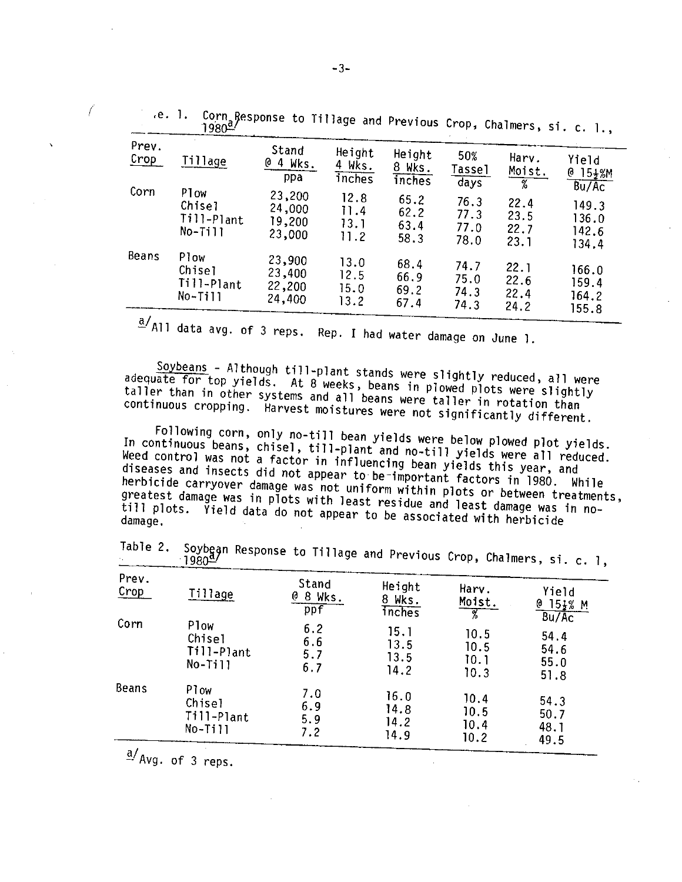| e. 1.          | $1980^{\frac{a}{2}}$                      | Corn Response to Tillage and Previous Crop, Chalmers, si. c. 1., |                              |                              |                              |                                        |                                            |
|----------------|-------------------------------------------|------------------------------------------------------------------|------------------------------|------------------------------|------------------------------|----------------------------------------|--------------------------------------------|
| Prev.<br>Crop  | Tillage                                   | Stand<br>$04$ Wks.<br>ppa                                        | Height<br>4 Wks.<br>inches   | Height<br>8 Wks.<br>inches   | 50%<br>Tassel<br>days        | Harv.<br>Moist.<br>$\overline{\gamma}$ | Yield<br>$15\frac{1}{2}$ %M<br>Ø.<br>Bu/Ac |
| Corn           | Plow<br>Chisel<br>Till-Plant<br>No-Till   | 23,200<br>24,000<br>19,200<br>23,000                             | 12.8<br>11.4<br>13.1<br>11.2 | 65.2<br>62.2<br>63.4<br>58.3 | 76.3<br>77.3<br>77.0<br>78.0 | 22.4<br>23.5<br>22.7<br>23.1           | 149.3<br>136.0<br>142.6<br>134.4           |
| Beans          | Plow<br>Chise]<br>Till-Plant<br>$No-T111$ | 23,900<br>23,400<br>22,200<br>24,400                             | 13.0<br>12.5<br>15.0<br>13.2 | 68.4<br>66.9<br>69.2<br>67.4 | 74.7<br>75.0<br>74.3<br>74.3 | 22.1<br>22.6<br>22.4<br>24.2           | 166.0<br>159.4<br>164.2<br>155.8           |
| $\overline{ }$ |                                           |                                                                  |                              |                              |                              |                                        |                                            |

 $\frac{a}{2}$  All data avg. of 3 reps. Rep. I had water damage on June 1.

Soybeans - Although till-plant stands were slightly reduced, all were adequate for top yields. At 8 weeks, beans in plowed plots were slightly taller than in other systems and all beans were taller in rotation than continuous cropping. Harvest moistures were not significantly different.

Following corn, only no-till bean yields were below plowed plot yields. In continuous beans, chisel, till-plant and no-till yields were all reduced. Weed control was not a factor in influencing bean yields this year, and diseases and insects did not appear to be important factors in 1980. While herbicide carryover damage was not uniform within plots or between treatments, greatest damage was in plots with least residue and least damage was in notill plots. Yield data do not appear to be associated with herbicide

| $\star$ .     | $-1980^{\underline{\alpha}}$ |                          |                                   |                       | recase and crevious trop, thatmers, si. c. 1, |
|---------------|------------------------------|--------------------------|-----------------------------------|-----------------------|-----------------------------------------------|
| Prev.<br>Crop | Tillage                      | Stand<br>0 8 Wks.<br>ppf | Height<br>8 Wks.<br><i>inches</i> | Harv.<br>Moist.<br>-7 | Yield<br>$0.15\frac{1}{2}\%$ M<br>Bu/Ac       |
| Corn          | Plow                         | 6.2                      | 15.1                              | 10.5                  | 54.4                                          |
|               | Chisel                       | 6.6                      | 13.5                              | 10.5                  | 54.6                                          |
|               | Till-Plant                   | 5.7                      | 13.5                              | 10.1                  | 55.0                                          |
|               | $No-Ti11$                    | 6.7                      | 14.2                              | 10.3                  | 51.8                                          |
| Beans         | Plow                         | 7.0                      | 16.0                              | 10.4                  | 54.3                                          |
|               | Chisel                       | 6.9                      | 14.8                              | 10.5                  | 50.7                                          |
|               | Till-Plant                   | 5.9                      | 14.2                              | 10.4                  | 48.1                                          |
|               | $No-Ti11$                    | 7.2                      | 14.9                              | 10.2                  | 49.5                                          |

Table 2. Soybegn Response to Tillage and Previous Cro

 $\frac{a}{a}$  Avg. of 3 reps.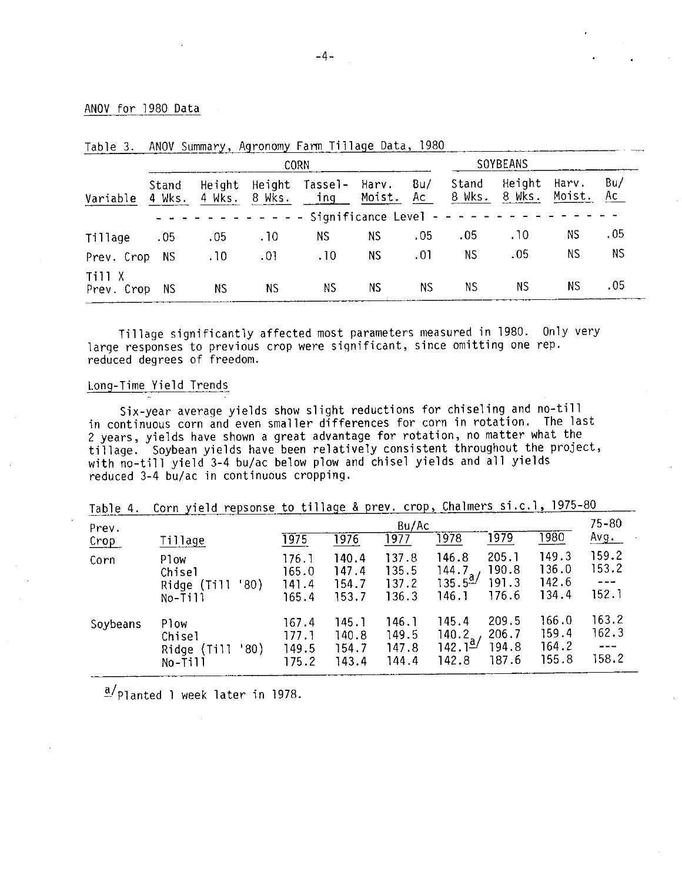### ANOV for 1980 Data

|                      |                 |           |     | <b>CORN</b>                                      |           |           |                 | SOYBEANS         |                 |           |
|----------------------|-----------------|-----------|-----|--------------------------------------------------|-----------|-----------|-----------------|------------------|-----------------|-----------|
| Variable             | Stand<br>4 Wks. | Height    |     | Height Tassel- Harv.<br>4 Wks. 8 Wks. ing Moist. |           | Bu/<br>Ac | Stand<br>8 Wks. | Height<br>8 Wks. | Harv.<br>Moist. | Bu/<br>Ac |
|                      |                 |           |     |                                                  |           |           |                 |                  |                 |           |
| Tillage              | .05             | .05       | .10 | NS.                                              | NS.       | .05       | .05             | .10              | <b>NS</b>       | .05       |
| Prev. Crop           | NS.             | .10       | .01 | .10                                              | NS.       | .01       | NS.             | .05              | ΝS              | ΝS        |
| Till X<br>Prev. Crop | NS.             | <b>NS</b> | NS. | ΝS                                               | <b>NS</b> | <b>NS</b> | <b>NS</b>       | NS.              | ΝS              | .05       |

ANOV Summary Agronomy Farm Tillage Data, 1980  $Table 3$ 

Tillage significantly affected most parameters measured in 1980. Only very large responses to previous crop were significant, since omitting one rep. reduced degrees of freedom.

## Long-Time Yield Trends

Six-year average yields show slight reductions for chiseling and no-till in continuous corn and even smaller differences for corn in rotation. The last 2 years, yields have shown a great advantage for rotation, no matter what the tillage. Soybean yields have been relatively consistent throughout the project, with no-till yield 3-4 bu/ac below plow and chisel yields and all yields reduced 3-4 bu/ac in continuous cropping.

| Table 4.      |                                                      |                                                                                                                                                          |                                  |                                  |                                                |                                  |                                  |                                    |
|---------------|------------------------------------------------------|----------------------------------------------------------------------------------------------------------------------------------------------------------|----------------------------------|----------------------------------|------------------------------------------------|----------------------------------|----------------------------------|------------------------------------|
| Prev.<br>Crop | Tillage                                              | Corn yield repsonse to tillage & prev. crop, Chalmers si.c.l, 1975-80<br>Bu/Ac<br>$\overline{1980}$<br>1979<br>1978<br>1977<br>$\overline{1976}$<br>1975 |                                  |                                  |                                                |                                  | $75 - 80$<br><u>Avg.</u>         |                                    |
| Corn          | Plow<br>Chisel<br>'80)<br>Ridge (Till<br>$No-T111$   | 176.1<br>165.0<br>141.4<br>165.4                                                                                                                         | 140.4<br>147.4<br>154.7<br>153.7 | 137.8<br>135.5<br>137.2<br>136.3 | 146.8<br>144.7.<br>$135.5^{a/2}$<br>146.1      | 205.1<br>190.8<br>191.3<br>176.6 | 149.3<br>136.0<br>142.6<br>134.4 | 159.2<br>153.2<br>$- - -$<br>152.1 |
| Soybeans      | Plow<br>Chisel<br>'80)<br>Ridge<br>(T111)<br>No-Till | 167.4<br>177.1<br>149.5<br>175.2                                                                                                                         | 145.1<br>140.8<br>154.7<br>143.4 | 146.1<br>149.5<br>147.8<br>144.4 | 145.4<br>140.2.<br>142.1 <sup>a</sup><br>142.8 | 209.5<br>206.7<br>194.8<br>187.6 | 166.0<br>159.4<br>164.2<br>155.8 | 163.2<br>162.3<br>---<br>158.2     |

 $\frac{a}{r}$ Planted 1 week later in 1978.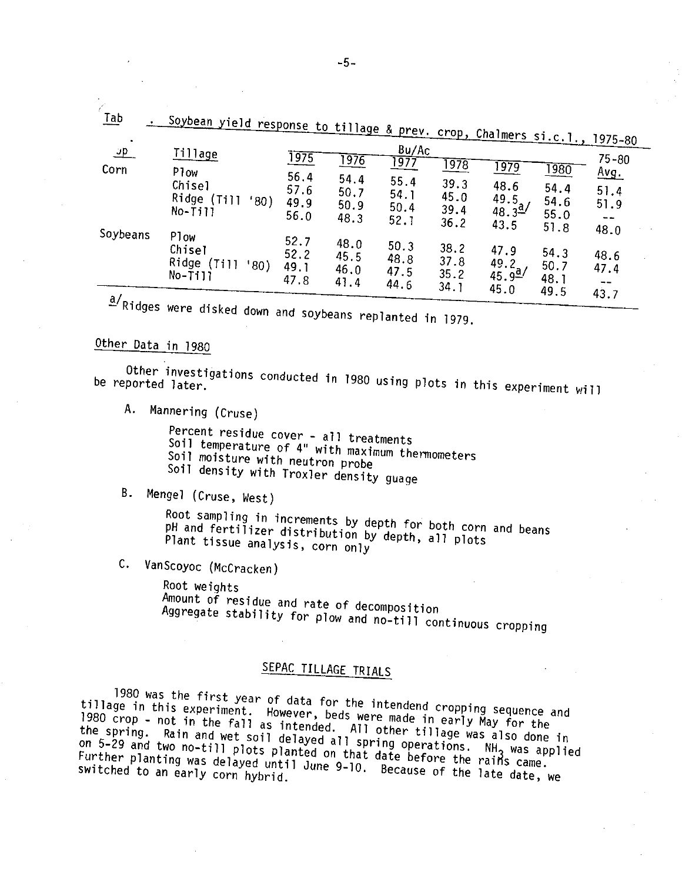| $I$ ab<br>$\bullet$ | Soybean yield response to tillage & prev. crop, Chalmers si.c.l., 1975-80         |                                      |                                      |                                                        |                                                   |                                                              |                                              |                                          |
|---------------------|-----------------------------------------------------------------------------------|--------------------------------------|--------------------------------------|--------------------------------------------------------|---------------------------------------------------|--------------------------------------------------------------|----------------------------------------------|------------------------------------------|
| <u>ு </u><br>Corn   | <b>Tillage</b><br>P <sub>1</sub> ow<br>Chisel<br>Ridge (Till<br>'80)<br>$No-T111$ | 1975<br>56.4<br>57.6<br>49.9<br>56.0 | 1976<br>54.4<br>50.7<br>50.9<br>48.3 | Bu/Ac<br><u> 1977 </u><br>55.4<br>54.1<br>50.4<br>52.1 | $\overline{1978}$<br>39.3<br>45.0<br>39.4<br>36.2 | <u> 1979</u><br>48.6<br>49.5<br>$48.3^{\frac{a}{2}}$<br>43.5 | <u> 1980</u><br>54.4<br>54.6<br>55.0<br>51.8 | $75 - 80$<br><u>Avg.</u><br>51.4<br>51.9 |
| Soybeans            | Plow<br>Chisel<br>Ridge (Til)<br>'80)<br>$No-T111$                                | 52.7<br>52.2<br>49.1<br>47 8         | 48.0<br>45.5<br>46.0<br>41.4         | 50.3<br>48.8<br>47.5<br>44.6                           | 38.2<br>37.8<br>35.2<br>34.1                      | 47.9<br>$\frac{49.2}{45.9^{2}}$<br>45.0                      | 54.3<br>50.7<br>48.1<br>49.5                 | 48.0<br>48.6<br>47.4<br>43.7             |
| $a/\sqrt{a}$ .      |                                                                                   |                                      |                                      |                                                        |                                                   |                                                              |                                              |                                          |

a/Ridges were disked down and soybeans replanted in 1979.

# Other Data in 1980

Other investigations conducted in 1980 using plots in this experiment will be reported later.

A. Mannering (Cruse)

Percent residue cover - all treatments

Soil temperature of 4" with maximum thermometers

Soil moisture with neutron probe

Soil density with Troxler density guage

B. Mengel (Cruse, West)

Root sampling in increments by depth for both corn and beans pH and fertilizer distribution by depth, all plots Plant tissue analysis, corn only

C. VanScoyoc (McCracken)

Root weights Amount of residue and rate of decomposition Aggregate stability for plow and no-till continuous cropping

# SEPAC TILLAGE TRIALS

1980 was the first year of data for the intendend cropping sequence and tillage in this experiment. However, beds were made in early May for the 1980 crop - not in the fall as intended. All other tillage was also done in the spring. Rain and wet soil delayed all spring operations. NH<sub>3</sub> was applied on 5-29 and two no-till plots planted on that date before the rains came. Further planting was delayed until June 9-10. Because of the late date, we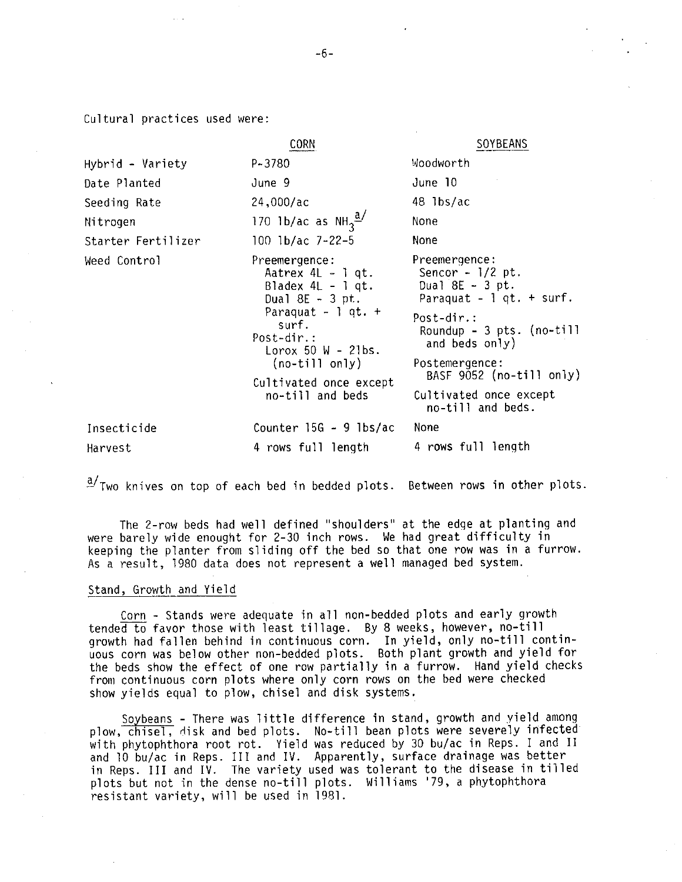Cultural practices used were:

|                    | <b>CORN</b>                                                                                                                                                                                                                   | SOYBEANS                                                                                                                                                                                                                                           |
|--------------------|-------------------------------------------------------------------------------------------------------------------------------------------------------------------------------------------------------------------------------|----------------------------------------------------------------------------------------------------------------------------------------------------------------------------------------------------------------------------------------------------|
| Hybrid - Variety   | $P - 3780$                                                                                                                                                                                                                    | Woodworth                                                                                                                                                                                                                                          |
| Date Planted       | June 9                                                                                                                                                                                                                        | June 10                                                                                                                                                                                                                                            |
| Seeding Rate       | 24,000/ac                                                                                                                                                                                                                     | 48 lbs/ac                                                                                                                                                                                                                                          |
| Nitrogen           | 170 1b/ac as $NH_3^{\underline{a}}$                                                                                                                                                                                           | None                                                                                                                                                                                                                                               |
| Starter Fertilizer | 100 1b/ac 7-22-5                                                                                                                                                                                                              | None                                                                                                                                                                                                                                               |
| Weed Control       | Preemergence:<br>Aatrex $4L - 1$ qt.<br>Bladex $4L - 1$ qt.<br>Dual $8E - 3$ pt.<br>Paraquat - $\log$ qt. +<br>surf.<br>Post-dir.:<br>Lorox 50 $W - 21bs$ .<br>$(no-till only)$<br>Cultivated once except<br>no-till and beds | Preemergence:<br>Sencor $-1/2$ pt.<br>Dual $8E - 3$ pt.<br>Paraquat $-1$ qt. $+$ surf.<br>Post-dir.:<br>Roundup - $3$ pts. (no-till<br>and beds only)<br>Postemergence:<br>BASF 9052 (no-till only)<br>Cultivated once except<br>no-till and beds. |
| Insecticide        | Counter $15G - 9$ lbs/ac                                                                                                                                                                                                      | None                                                                                                                                                                                                                                               |
| Harvest            | 4 rows full length                                                                                                                                                                                                            | 4 rows full length                                                                                                                                                                                                                                 |

 $\frac{a}{2}$ Two knives on top of each bed in bedded plots. Between rows in other plots.

The 2-row beds had well defined "shoulders" at the edge at planting and were barely wide enought for 2-30 inch rows. We had great difficulty in keeping the planter from sliding off the bed so that one row was in a furrow. As a result, 1980 data does not represent a well managed bed system.

#### Stand, Growth and Yield

Corn - Stands were adequate in all non-bedded plots and early growth tended to favor those with least tillage. By 8 weeks, however, no-till growth had fallen behind in continuous corn. In yield, only no-till contin-<br>uous corn was below other non-bedded plots. Both plant growth and yield for the beds show the effect of one row partially in a furrow. Hand yield checks from continuous corn plots where only corn rows on the bed were checked show yields equal to plow, chisel and disk systems.

Soybeans - There was little difference in stand, growth and yield among plow, chisel, disk and bed plots. No-till bean plots were severely infected with phytophthora root rot. Yield was reduced by 30 bu/ac in Reps. I and II and 10 bu/ac in Reps. III and IV. Apparently, surface drainage was better in Reps. III and IV. The variety used was tolerant to the disease in tilled plots but not in the dense no-till plots. Williams '79, a phytophthora resistant variety, will be used in 1981.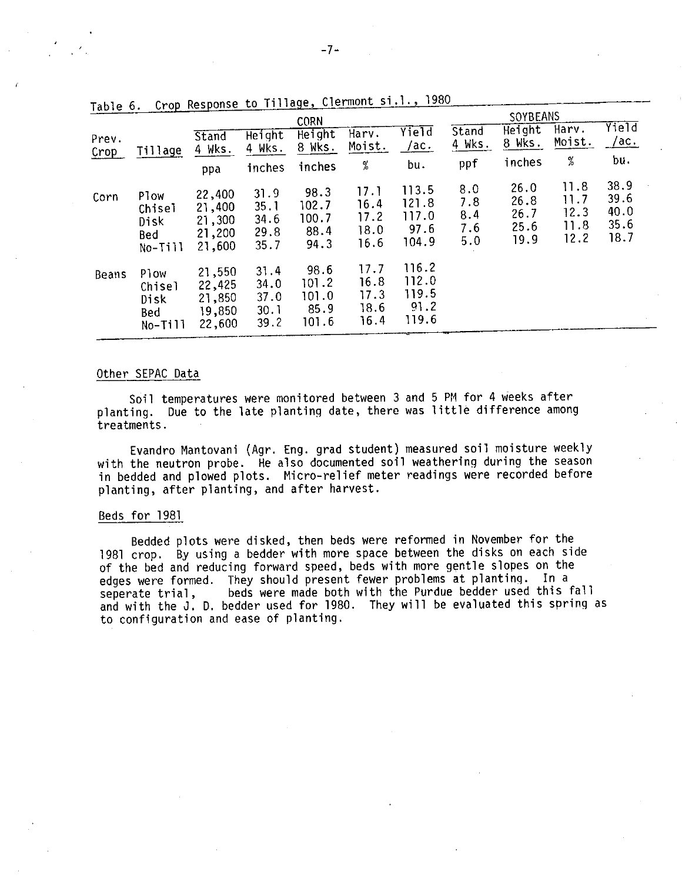| TAD IE U.     |                                                 | or up incoponing                               | $\sim$                               | <b>CORN</b>                             |                                      |                                          |                                 | <b>SOYBEANS</b>                      |                                      |                                      |
|---------------|-------------------------------------------------|------------------------------------------------|--------------------------------------|-----------------------------------------|--------------------------------------|------------------------------------------|---------------------------------|--------------------------------------|--------------------------------------|--------------------------------------|
| Prev.<br>Crop | Tillage                                         | Stand<br>4 Wks.                                | Height<br>4 Wks.                     | Height<br>8 Wks.                        | Harv.<br>Moist.                      | Yield<br>/ac.                            | Stand<br>4 Wks.                 | Height<br>8 Wks.                     | Harv.<br>Moist.                      | Yield<br><u>/ac.</u>                 |
|               |                                                 | ppa                                            | inches                               | inches                                  | %                                    | bu.                                      | ppf                             | inches                               | %                                    | bu.                                  |
| Corn          | Plow<br>Chisel<br>Disk<br>Bed<br>$No-Ti11$      | 22,400<br>21,400<br>21,300<br>21,200<br>21,600 | 31.9<br>35.1<br>34.6<br>29.8<br>35.7 | 98.3<br>102.7<br>100.7<br>88.4<br>94.3  | 17.1<br>16.4<br>17.2<br>18.0<br>16.6 | 113.5<br>121.8<br>117.0<br>97.6<br>104.9 | 8.0<br>7.8<br>8.4<br>7.6<br>5.0 | 26.0<br>26.8<br>26.7<br>25.6<br>19.9 | 11.8<br>11.7<br>12.3<br>11.8<br>12.2 | 38.9<br>39.6<br>40.0<br>35.6<br>18.7 |
| Beans         | Plow<br>Chisel<br>Disk<br><b>Bed</b><br>No-Till | 21,550<br>22,425<br>21,850<br>19,850<br>22,600 | 31.4<br>34.0<br>37.0<br>30.1<br>39.2 | 98.6<br>101.2<br>101.0<br>85.9<br>101.6 | 17.7<br>16.8<br>17.3<br>18.6<br>16.4 | 116.2<br>112.0<br>119.5<br>91.2<br>119.6 |                                 |                                      |                                      |                                      |

Crop Response to Tillage, Clermont si.l., 1980

### Other SEPAC Data

Soil temperatures were monitored between 3 and 5 PM for 4 weeks after planting. Due to the late planting date, there was little difference among treatments.

Evandro Mantovani (Agr. Eng. grad student) measured soil moisture weekly with the neutron probe. He also documented soil weathering during the season in bedded and plowed plots. Micro-relief meter readings were recorded before planting, after planting, and after harvest.

### Beds for 1981

Bedded plots were disked, then beds were reformed in November for the 1981 crop. By using a bedder with more space between the disks on each side of the bed and reducing forward speed, beds with more gentle slopes on the edges were formed. They should present fewer problems at planting. In a beds were made both with the Purdue bedder used this fall seperate trial, and with the J. D. bedder used for 1980. They will be evaluated this spring as to configuration and ease of planting.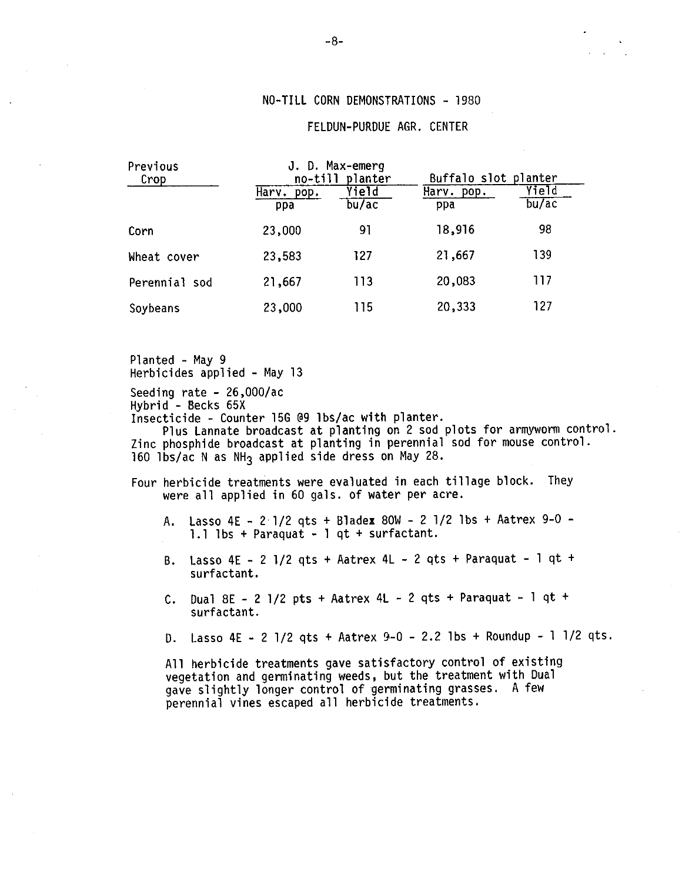## NO-TILL CORN DEMONSTRATIONS - 1980

### FELDUN-PURDUE AGR. CENTER

| Previous<br>Crop |                      | J. D. Max-emerg<br>no-till planter | Buffalo slot planter |                |  |
|------------------|----------------------|------------------------------------|----------------------|----------------|--|
|                  | Harv.<br>pop.<br>ppa | Yield<br>bu/ac                     | Harv. pop.<br>ppa    | Yield<br>bu/ac |  |
| Corn             | 23,000               | 91                                 | 18,916               | 98             |  |
| Wheat cover      | 23,583               | 127                                | 21,667               | 139            |  |
| Perennial sod    | 21,667               | 113                                | 20,083               | 117            |  |
| Soybeans         | 23,000               | 115                                | 20,333               | 127            |  |

Planted - May 9 Herbicides applied - May 13

Seeding rate -  $26,000/ac$ 

Hybrid - Becks 65X

Insecticide - Counter 15G @9 lbs/ac with planter.

Plus Lannate broadcast at planting on 2 sod plots for armyworm control. Zinc phosphide broadcast at planting in perennial sod for mouse control. 160 lbs/ac N as NH<sub>3</sub> applied side dress on May 28.

- Four herbicide treatments were evaluated in each tillage block. They were all applied in 60 gals. of water per acre.
	- Lasso 4E 2 1/2 qts + Bladex 80W 2 1/2 lbs + Aatrex 9-0 -A., 1.1 lbs + Paraquat - 1 qt + surfactant.
	- Lasso 4E 2 1/2 gts + Aatrex 4L 2 gts + Paraguat 1 gt + В. surfactant.
	- C. Dual 8E 2 1/2 pts + Aatrex 4L 2 qts + Paraquat 1 qt + surfactant.
	- Lasso 4E 2 1/2 qts + Aatrex 9-0 2.2 1bs + Roundup 1 1/2 qts. D.

All herbicide treatments gave satisfactory control of existing vegetation and germinating weeds, but the treatment with Dual gave slightly longer control of germinating grasses. A few perennial vines escaped all herbicide treatments.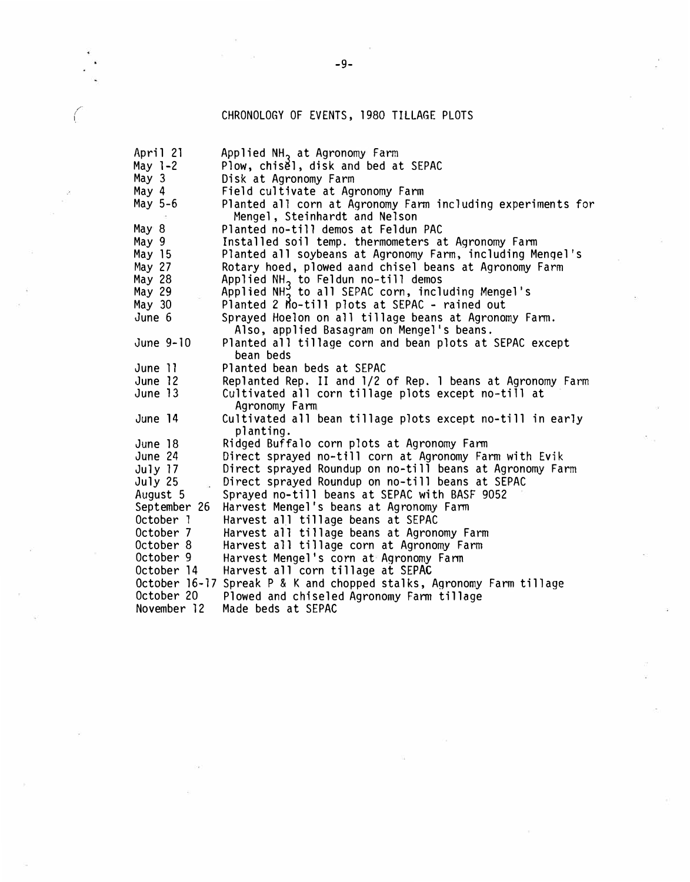# CHRONOLOGY OF EVENTS, 1980 TILLAGE PLOTS

/ *(* 

| April 21     | Applied NH <sub>2</sub> at Agronomy Farm                             |
|--------------|----------------------------------------------------------------------|
| May $1-2$    | Plow, chisel, disk and bed at SEPAC                                  |
| May 3        | Disk at Agronomy Farm                                                |
| May 4        | Field cultivate at Agronomy Farm                                     |
| May 5-6      | Planted all corn at Agronomy Farm including experiments for          |
|              | Mengel, Steinhardt and Nelson                                        |
| May 8        | Planted no-till demos at Feldun PAC                                  |
| May 9        | Installed soil temp. thermometers at Agronomy Farm                   |
| May 15       | Planted all soybeans at Agronomy Farm, including Mengel's            |
| May 27       | Rotary hoed, plowed aand chisel beans at Agronomy Farm               |
| May 28       | Applied $NH_2$ to Feldun no-till demos                               |
| May 29       | Applied NH <sub>2</sub> to all SEPAC corn, including Mengel's        |
| May 30       | Planted 2 Mo-till plots at SEPAC - rained out                        |
| June 6       | Sprayed Hoelon on all tillage beans at Agronomy Farm.                |
|              | Also, applied Basagram on Mengel's beans.                            |
| June 9-10    | Planted all tillage corn and bean plots at SEPAC except              |
|              | bean beds                                                            |
| June 11      | Planted bean beds at SEPAC                                           |
| June 12      | Replanted Rep. II and 1/2 of Rep. 1 beans at Agronomy Farm           |
| June 13      | Cultivated all corn tillage plots except no-till at                  |
|              | Agronomy Farm                                                        |
| June 14      | Cultivated all bean tillage plots except no-till in early            |
|              | planting.                                                            |
| June 18      | Ridged Buffalo corn plots at Agronomy Farm                           |
| June 24      | Direct sprayed no-till corn at Agronomy Farm with Evik               |
| July 17      | Direct sprayed Roundup on no-till beans at Agronomy Farm             |
| July 25      | Direct sprayed Roundup on no-till beans at SEPAC                     |
| August 5     | Sprayed no-till beans at SEPAC with BASF 9052                        |
| September 26 | Harvest Mengel's beans at Agronomy Farm                              |
| October 1    | Harvest all tillage beans at SEPAC                                   |
| October 7    | Harvest all tillage beans at Agronomy Farm                           |
| October 8    | Harvest all tillage corn at Agronomy Farm                            |
| October 9    | Harvest Mengel's corn at Agronomy Farm                               |
| October 14   | Harvest all corn tillage at SEPAC                                    |
|              | October 16-17 Spreak P & K and chopped stalks, Agronomy Farm tillage |
| October 20   | Plowed and chiseled Agronomy Farm tillage                            |
| November 12  | Made beds at SEPAC                                                   |